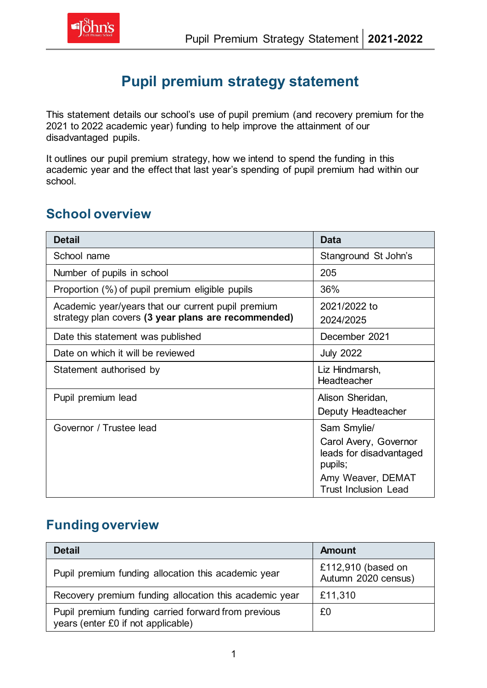

# **Pupil premium strategy statement**

This statement details our school's use of pupil premium (and recovery premium for the 2021 to 2022 academic year) funding to help improve the attainment of our disadvantaged pupils.

It outlines our pupil premium strategy, how we intend to spend the funding in this academic year and the effect that last year's spending of pupil premium had within our school.

### **School overview**

| <b>Detail</b>                                                                                             | <b>Data</b>                                                                                                                    |
|-----------------------------------------------------------------------------------------------------------|--------------------------------------------------------------------------------------------------------------------------------|
| School name                                                                                               | Stanground St John's                                                                                                           |
| Number of pupils in school                                                                                | 205                                                                                                                            |
| Proportion (%) of pupil premium eligible pupils                                                           | 36%                                                                                                                            |
| Academic year/years that our current pupil premium<br>strategy plan covers (3 year plans are recommended) | 2021/2022 to<br>2024/2025                                                                                                      |
| Date this statement was published                                                                         | December 2021                                                                                                                  |
| Date on which it will be reviewed                                                                         | <b>July 2022</b>                                                                                                               |
| Statement authorised by                                                                                   | Liz Hindmarsh,<br>Headteacher                                                                                                  |
| Pupil premium lead                                                                                        | Alison Sheridan,<br>Deputy Headteacher                                                                                         |
| Governor / Trustee lead                                                                                   | Sam Smylie/<br>Carol Avery, Governor<br>leads for disadvantaged<br>pupils;<br>Amy Weaver, DEMAT<br><b>Trust Inclusion Lead</b> |

## **Funding overview**

| <b>Detail</b>                                                                             | <b>Amount</b>                             |
|-------------------------------------------------------------------------------------------|-------------------------------------------|
| Pupil premium funding allocation this academic year                                       | £112,910 (based on<br>Autumn 2020 census) |
| Recovery premium funding allocation this academic year                                    | £11,310                                   |
| Pupil premium funding carried forward from previous<br>years (enter £0 if not applicable) | £0                                        |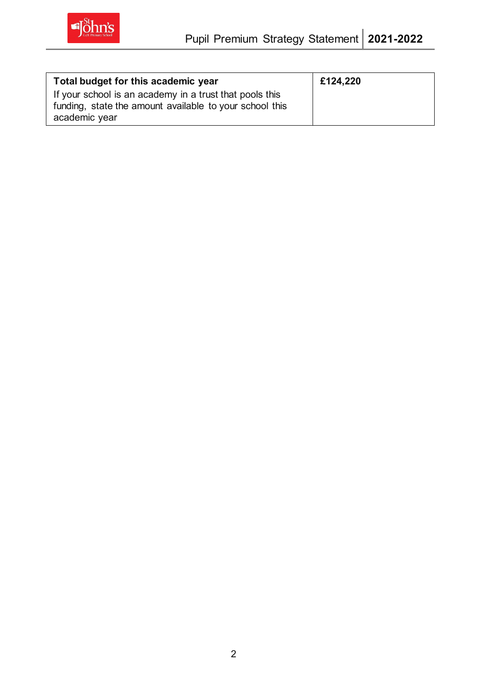

| Total budget for this academic year                                                                                                 | £124,220 |
|-------------------------------------------------------------------------------------------------------------------------------------|----------|
| If your school is an academy in a trust that pools this<br>funding, state the amount available to your school this<br>academic year |          |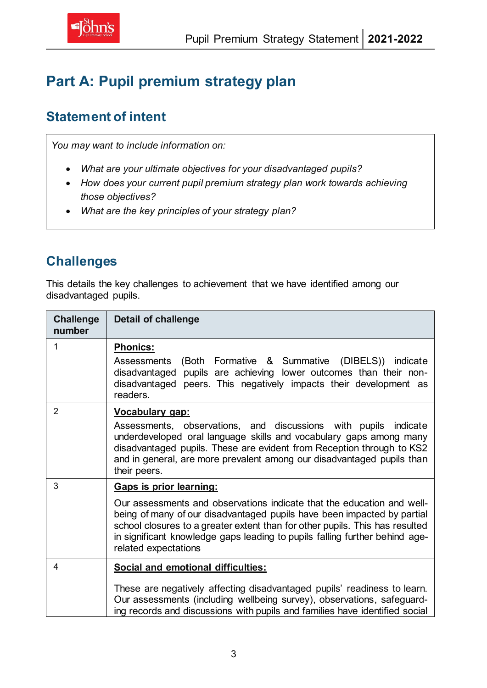# **Part A: Pupil premium strategy plan**

#### **Statement of intent**

*You may want to include information on:*

- *What are your ultimate objectives for your disadvantaged pupils?*
- *How does your current pupil premium strategy plan work towards achieving those objectives?*
- *What are the key principles of your strategy plan?*

## **Challenges**

This details the key challenges to achievement that we have identified among our disadvantaged pupils.

| <b>Challenge</b><br>number | <b>Detail of challenge</b>                                                                                                                                                                                                                                                                                                                                          |
|----------------------------|---------------------------------------------------------------------------------------------------------------------------------------------------------------------------------------------------------------------------------------------------------------------------------------------------------------------------------------------------------------------|
| 1                          | <b>Phonics:</b><br>(Both Formative & Summative (DIBELS)) indicate<br>Assessments<br>disadvantaged pupils are achieving lower outcomes than their non-<br>disadvantaged peers. This negatively impacts their development as<br>readers.                                                                                                                              |
| $\overline{2}$             | Vocabulary gap:<br>Assessments, observations, and discussions with pupils indicate<br>underdeveloped oral language skills and vocabulary gaps among many<br>disadvantaged pupils. These are evident from Reception through to KS2<br>and in general, are more prevalent among our disadvantaged pupils than<br>their peers.                                         |
| 3                          | Gaps is prior learning:<br>Our assessments and observations indicate that the education and well-<br>being of many of our disadvantaged pupils have been impacted by partial<br>school closures to a greater extent than for other pupils. This has resulted<br>in significant knowledge gaps leading to pupils falling further behind age-<br>related expectations |
| 4                          | <b>Social and emotional difficulties:</b><br>These are negatively affecting disadvantaged pupils' readiness to learn.<br>Our assessments (including wellbeing survey), observations, safeguard-<br>ing records and discussions with pupils and families have identified social                                                                                      |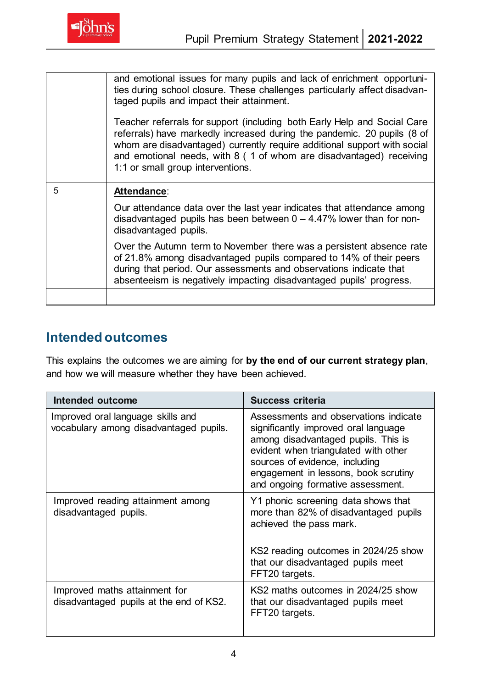

|   | and emotional issues for many pupils and lack of enrichment opportuni-<br>ties during school closure. These challenges particularly affect disadvan-<br>taged pupils and impact their attainment.                                                                                                                                           |
|---|---------------------------------------------------------------------------------------------------------------------------------------------------------------------------------------------------------------------------------------------------------------------------------------------------------------------------------------------|
|   | Teacher referrals for support (including both Early Help and Social Care<br>referrals) have markedly increased during the pandemic. 20 pupils (8 of<br>whom are disadvantaged) currently require additional support with social<br>and emotional needs, with 8 (1 of whom are disadvantaged) receiving<br>1:1 or small group interventions. |
| 5 | Attendance:                                                                                                                                                                                                                                                                                                                                 |
|   | Our attendance data over the last year indicates that attendance among<br>disadvantaged pupils has been between $0 - 4.47\%$ lower than for non-<br>disadvantaged pupils.                                                                                                                                                                   |
|   |                                                                                                                                                                                                                                                                                                                                             |
|   | Over the Autumn term to November there was a persistent absence rate<br>of 21.8% among disadvantaged pupils compared to 14% of their peers<br>during that period. Our assessments and observations indicate that<br>absenteeism is negatively impacting disadvantaged pupils' progress.                                                     |

#### **Intended outcomes**

This explains the outcomes we are aiming for **by the end of our current strategy plan**, and how we will measure whether they have been achieved.

| <b>Intended outcome</b>                                                     | <b>Success criteria</b>                                                                                                                                                                                                                                                     |
|-----------------------------------------------------------------------------|-----------------------------------------------------------------------------------------------------------------------------------------------------------------------------------------------------------------------------------------------------------------------------|
| Improved oral language skills and<br>vocabulary among disadvantaged pupils. | Assessments and observations indicate<br>significantly improved oral language<br>among disadvantaged pupils. This is<br>evident when triangulated with other<br>sources of evidence, including<br>engagement in lessons, book scrutiny<br>and ongoing formative assessment. |
| Improved reading attainment among<br>disadvantaged pupils.                  | Y1 phonic screening data shows that<br>more than 82% of disadvantaged pupils<br>achieved the pass mark.<br>KS2 reading outcomes in 2024/25 show                                                                                                                             |
|                                                                             | that our disadvantaged pupils meet<br>FFT20 targets.                                                                                                                                                                                                                        |
| Improved maths attainment for<br>disadvantaged pupils at the end of KS2.    | KS2 maths outcomes in 2024/25 show<br>that our disadvantaged pupils meet<br>FFT20 targets.                                                                                                                                                                                  |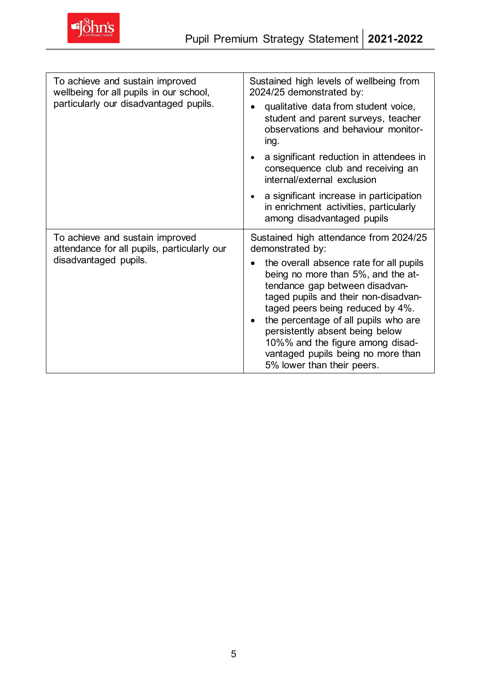

| To achieve and sustain improved<br>wellbeing for all pupils in our school,<br>particularly our disadvantaged pupils. | Sustained high levels of wellbeing from<br>2024/25 demonstrated by:                                                                                                                                                                                                                                                                                                            |  |
|----------------------------------------------------------------------------------------------------------------------|--------------------------------------------------------------------------------------------------------------------------------------------------------------------------------------------------------------------------------------------------------------------------------------------------------------------------------------------------------------------------------|--|
|                                                                                                                      | qualitative data from student voice,<br>student and parent surveys, teacher<br>observations and behaviour monitor-<br>ing.                                                                                                                                                                                                                                                     |  |
|                                                                                                                      | a significant reduction in attendees in<br>consequence club and receiving an<br>internal/external exclusion                                                                                                                                                                                                                                                                    |  |
|                                                                                                                      | a significant increase in participation<br>in enrichment activities, particularly<br>among disadvantaged pupils                                                                                                                                                                                                                                                                |  |
| To achieve and sustain improved<br>attendance for all pupils, particularly our                                       | Sustained high attendance from 2024/25<br>demonstrated by:                                                                                                                                                                                                                                                                                                                     |  |
| disadvantaged pupils.                                                                                                | the overall absence rate for all pupils<br>being no more than 5%, and the at-<br>tendance gap between disadvan-<br>taged pupils and their non-disadvan-<br>taged peers being reduced by 4%.<br>the percentage of all pupils who are<br>persistently absent being below<br>10%% and the figure among disad-<br>vantaged pupils being no more than<br>5% lower than their peers. |  |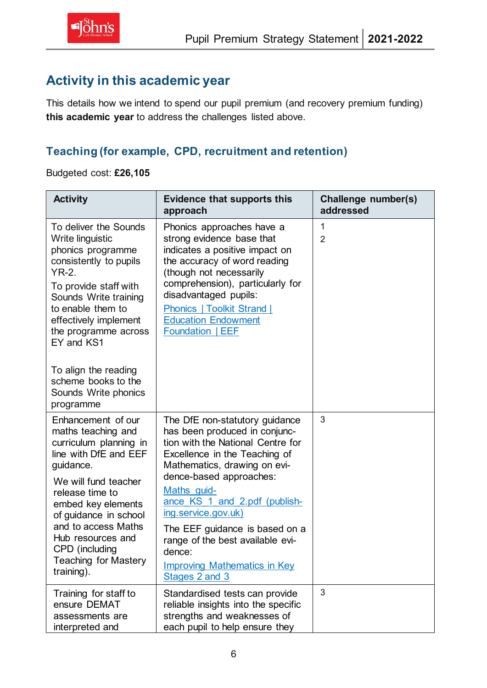### **Activity in this academic year**

This details how we intend to spend our pupil premium (and recovery premium funding) **this academic year** to address the challenges listed above.

#### **Teaching (for example, CPD, recruitment and retention)**

Budgeted cost: **£26,105**

| <b>Activity</b>                                                                                                                                                                                                                                                                                                                    | <b>Evidence that supports this</b><br>approach                                                                                                                                                                                                                                                                                                                                                                   | Challenge number(s)<br>addressed |
|------------------------------------------------------------------------------------------------------------------------------------------------------------------------------------------------------------------------------------------------------------------------------------------------------------------------------------|------------------------------------------------------------------------------------------------------------------------------------------------------------------------------------------------------------------------------------------------------------------------------------------------------------------------------------------------------------------------------------------------------------------|----------------------------------|
| To deliver the Sounds<br>Write linguistic<br>phonics programme<br>consistently to pupils<br><b>YR-2.</b><br>To provide staff with<br>Sounds Write training<br>to enable them to<br>effectively implement<br>the programme across<br>EY and KS1<br>To align the reading<br>scheme books to the<br>Sounds Write phonics<br>programme | Phonics approaches have a<br>strong evidence base that<br>indicates a positive impact on<br>the accuracy of word reading<br>(though not necessarily<br>comprehension), particularly for<br>disadvantaged pupils:<br>Phonics   Toolkit Strand  <br><b>Education Endowment</b><br>Foundation   EEF                                                                                                                 | 1<br>$\overline{2}$              |
| Enhancement of our<br>maths teaching and<br>curriculum planning in<br>line with DfE and EEF<br>guidance.<br>We will fund teacher<br>release time to<br>embed key elements<br>of guidance in school<br>and to access Maths<br>Hub resources and<br>CPD (including<br><b>Teaching for Mastery</b><br>training).                      | The DfE non-statutory guidance<br>has been produced in conjunc-<br>tion with the National Centre for<br>Excellence in the Teaching of<br>Mathematics, drawing on evi-<br>dence-based approaches:<br>Maths guid-<br>ance KS 1 and 2.pdf (publish-<br>ing.service.gov.uk)<br>The EEF guidance is based on a<br>range of the best available evi-<br>dence:<br><b>Improving Mathematics in Key</b><br>Stages 2 and 3 | 3                                |
| Training for staff to<br>ensure DEMAT<br>assessments are<br>interpreted and                                                                                                                                                                                                                                                        | Standardised tests can provide<br>reliable insights into the specific<br>strengths and weaknesses of<br>each pupil to help ensure they                                                                                                                                                                                                                                                                           | 3                                |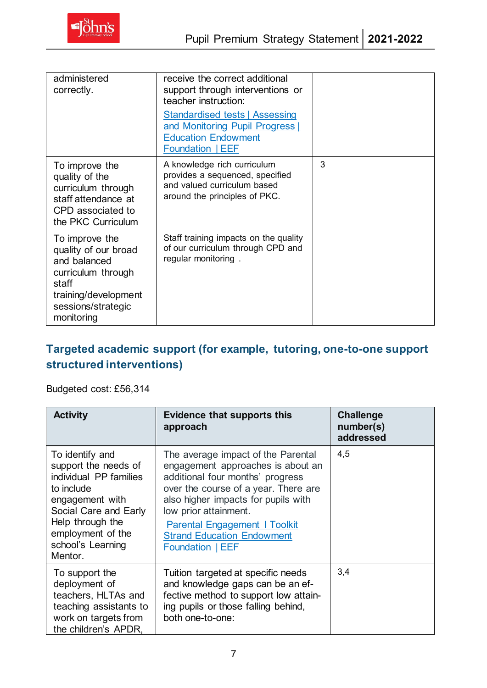| administered<br>correctly.                                                                                                                        | receive the correct additional<br>support through interventions or<br>teacher instruction:                                        |   |
|---------------------------------------------------------------------------------------------------------------------------------------------------|-----------------------------------------------------------------------------------------------------------------------------------|---|
|                                                                                                                                                   | <b>Standardised tests   Assessing</b><br>and Monitoring Pupil Progress  <br><b>Education Endowment</b><br><b>Foundation   EEF</b> |   |
| To improve the<br>quality of the<br>curriculum through<br>staff attendance at<br>CPD associated to<br>the PKC Curriculum                          | A knowledge rich curriculum<br>provides a sequenced, specified<br>and valued curriculum based<br>around the principles of PKC.    | 3 |
| To improve the<br>quality of our broad<br>and balanced<br>curriculum through<br>staff<br>training/development<br>sessions/strategic<br>monitoring | Staff training impacts on the quality<br>of our curriculum through CPD and<br>regular monitoring.                                 |   |

### **Targeted academic support (for example, tutoring, one-to-one support structured interventions)**

#### Budgeted cost: £56,314

| <b>Activity</b>                                                                                                                                                                                      | <b>Evidence that supports this</b><br>approach                                                                                                                                                                                                                                                                              | <b>Challenge</b><br>number(s)<br>addressed |
|------------------------------------------------------------------------------------------------------------------------------------------------------------------------------------------------------|-----------------------------------------------------------------------------------------------------------------------------------------------------------------------------------------------------------------------------------------------------------------------------------------------------------------------------|--------------------------------------------|
| To identify and<br>support the needs of<br>individual PP families<br>to include<br>engagement with<br>Social Care and Early<br>Help through the<br>employment of the<br>school's Learning<br>Mentor. | The average impact of the Parental<br>engagement approaches is about an<br>additional four months' progress<br>over the course of a year. There are<br>also higher impacts for pupils with<br>low prior attainment.<br><b>Parental Engagement   Toolkit</b><br><b>Strand Education Endowment</b><br><b>Foundation   EEF</b> | 4,5                                        |
| To support the<br>deployment of<br>teachers, HLTAs and<br>teaching assistants to<br>work on targets from<br>the children's APDR,                                                                     | Tuition targeted at specific needs<br>and knowledge gaps can be an ef-<br>fective method to support low attain-<br>ing pupils or those falling behind,<br>both one-to-one:                                                                                                                                                  | 3,4                                        |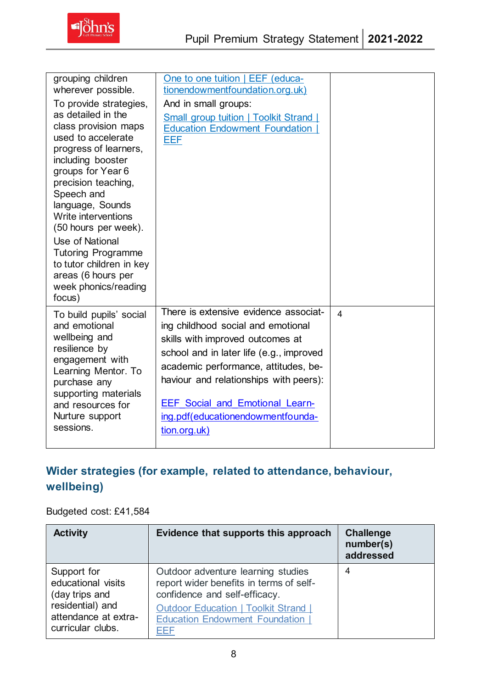

| grouping children<br>wherever possible.<br>To provide strategies,<br>as detailed in the<br>class provision maps<br>used to accelerate<br>progress of learners,<br>including booster<br>groups for Year 6<br>precision teaching,<br>Speech and<br>language, Sounds<br>Write interventions<br>(50 hours per week).<br>Use of National<br><b>Tutoring Programme</b><br>to tutor children in key<br>areas (6 hours per | One to one tuition   EEF (educa-<br>tionendowmentfoundation.org.uk)<br>And in small groups:<br>Small group tuition   Toolkit Strand  <br><b>Education Endowment Foundation</b><br>EEF                                                                                                                                                        |                          |
|--------------------------------------------------------------------------------------------------------------------------------------------------------------------------------------------------------------------------------------------------------------------------------------------------------------------------------------------------------------------------------------------------------------------|----------------------------------------------------------------------------------------------------------------------------------------------------------------------------------------------------------------------------------------------------------------------------------------------------------------------------------------------|--------------------------|
| week phonics/reading<br>focus)                                                                                                                                                                                                                                                                                                                                                                                     |                                                                                                                                                                                                                                                                                                                                              |                          |
| To build pupils' social<br>and emotional<br>wellbeing and<br>resilience by<br>engagement with<br>Learning Mentor. To<br>purchase any<br>supporting materials<br>and resources for<br>Nurture support<br>sessions.                                                                                                                                                                                                  | There is extensive evidence associat-<br>ing childhood social and emotional<br>skills with improved outcomes at<br>school and in later life (e.g., improved<br>academic performance, attitudes, be-<br>haviour and relationships with peers):<br><b>EEF Social and Emotional Learn-</b><br>ing.pdf(educationendowmentfounda-<br>tion.org.uk) | $\overline{\mathcal{A}}$ |

#### **Wider strategies (for example, related to attendance, behaviour, wellbeing)**

#### Budgeted cost: £41,584

| <b>Activity</b>                                               | Evidence that supports this approach                                                                           | <b>Challenge</b><br>number(s)<br>addressed |
|---------------------------------------------------------------|----------------------------------------------------------------------------------------------------------------|--------------------------------------------|
| Support for<br>educational visits<br>(day trips and           | Outdoor adventure learning studies<br>report wider benefits in terms of self-<br>confidence and self-efficacy. | 4                                          |
| residential) and<br>attendance at extra-<br>curricular clubs. | <b>Outdoor Education   Toolkit Strand  </b><br><b>Education Endowment Foundation  </b><br>EEF                  |                                            |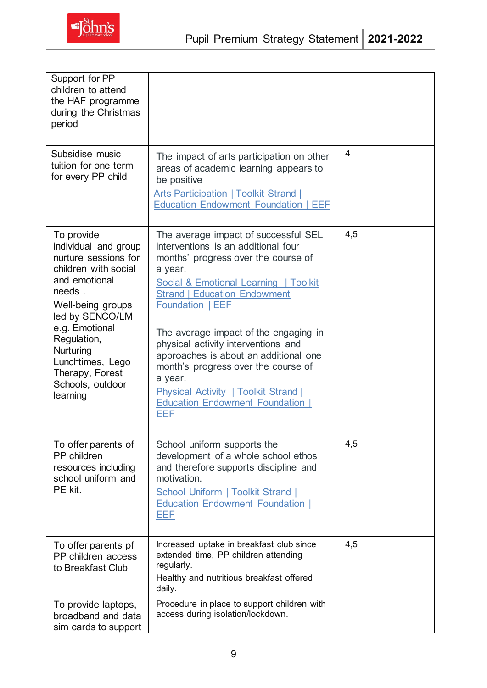| Support for PP<br>children to attend<br>the HAF programme<br>during the Christmas<br>period                                                                                                                                                                                |                                                                                                                                                                                                                                                                                                                                                                                                                                                                                                                    |     |
|----------------------------------------------------------------------------------------------------------------------------------------------------------------------------------------------------------------------------------------------------------------------------|--------------------------------------------------------------------------------------------------------------------------------------------------------------------------------------------------------------------------------------------------------------------------------------------------------------------------------------------------------------------------------------------------------------------------------------------------------------------------------------------------------------------|-----|
| Subsidise music<br>tuition for one term<br>for every PP child                                                                                                                                                                                                              | The impact of arts participation on other<br>areas of academic learning appears to<br>be positive<br><b>Arts Participation   Toolkit Strand  </b><br><b>Education Endowment Foundation   EEF</b>                                                                                                                                                                                                                                                                                                                   | 4   |
| To provide<br>individual and group<br>nurture sessions for<br>children with social<br>and emotional<br>needs.<br>Well-being groups<br>led by SENCO/LM<br>e.g. Emotional<br>Regulation,<br>Nurturing<br>Lunchtimes, Lego<br>Therapy, Forest<br>Schools, outdoor<br>learning | The average impact of successful SEL<br>interventions is an additional four<br>months' progress over the course of<br>a year.<br>Social & Emotional Learning   Toolkit<br><b>Strand   Education Endowment</b><br><b>Foundation   EEF</b><br>The average impact of the engaging in<br>physical activity interventions and<br>approaches is about an additional one<br>month's progress over the course of<br>a year.<br><b>Physical Activity   Toolkit Strand  </b><br><b>Education Endowment Foundation</b><br>EEF | 4,5 |
| To offer parents of<br>PP children<br>resources including<br>school uniform and<br>PE kit.                                                                                                                                                                                 | School uniform supports the<br>development of a whole school ethos<br>and therefore supports discipline and<br>motivation.<br><b>School Uniform   Toolkit Strand  </b><br><b>Education Endowment Foundation  </b><br>EEF                                                                                                                                                                                                                                                                                           | 4,5 |
| To offer parents pf<br>PP children access<br>to Breakfast Club                                                                                                                                                                                                             | Increased uptake in breakfast club since<br>extended time, PP children attending<br>regularly.<br>Healthy and nutritious breakfast offered<br>daily.                                                                                                                                                                                                                                                                                                                                                               | 4,5 |
| To provide laptops,<br>broadband and data<br>sim cards to support                                                                                                                                                                                                          | Procedure in place to support children with<br>access during isolation/lockdown.                                                                                                                                                                                                                                                                                                                                                                                                                                   |     |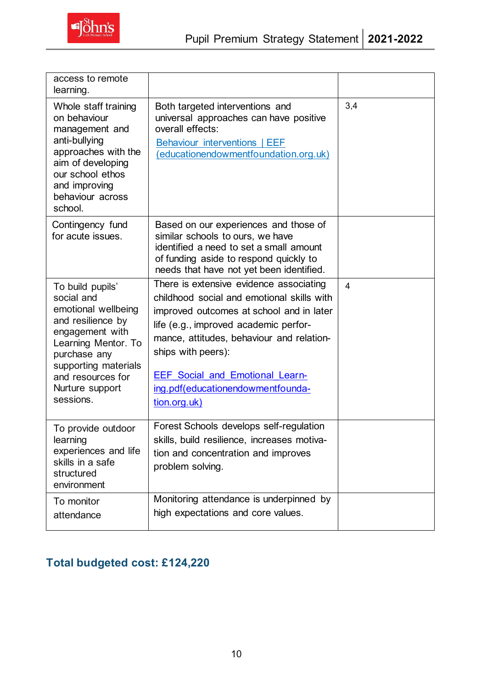

| access to remote<br>learning.                                                                                                                                                                                     |                                                                                                                                                                                                                                                                                                                                              |                |
|-------------------------------------------------------------------------------------------------------------------------------------------------------------------------------------------------------------------|----------------------------------------------------------------------------------------------------------------------------------------------------------------------------------------------------------------------------------------------------------------------------------------------------------------------------------------------|----------------|
| Whole staff training<br>on behaviour<br>management and<br>anti-bullying<br>approaches with the<br>aim of developing<br>our school ethos<br>and improving<br>behaviour across<br>school.                           | Both targeted interventions and<br>universal approaches can have positive<br>overall effects:<br>Behaviour interventions   EEF<br>(educationendowmentfoundation.org.uk)                                                                                                                                                                      | 3,4            |
| Contingency fund<br>for acute issues.                                                                                                                                                                             | Based on our experiences and those of<br>similar schools to ours, we have<br>identified a need to set a small amount<br>of funding aside to respond quickly to<br>needs that have not yet been identified.                                                                                                                                   |                |
| To build pupils'<br>social and<br>emotional wellbeing<br>and resilience by<br>engagement with<br>Learning Mentor. To<br>purchase any<br>supporting materials<br>and resources for<br>Nurture support<br>sessions. | There is extensive evidence associating<br>childhood social and emotional skills with<br>improved outcomes at school and in later<br>life (e.g., improved academic perfor-<br>mance, attitudes, behaviour and relation-<br>ships with peers):<br><b>EEF Social and Emotional Learn-</b><br>ing.pdf(educationendowmentfounda-<br>tion.org.uk) | $\overline{4}$ |
| To provide outdoor<br>learning<br>experiences and life<br>skills in a safe<br>structured<br>environment                                                                                                           | Forest Schools develops self-regulation<br>skills, build resilience, increases motiva-<br>tion and concentration and improves<br>problem solving.                                                                                                                                                                                            |                |
| To monitor<br>attendance                                                                                                                                                                                          | Monitoring attendance is underpinned by<br>high expectations and core values.                                                                                                                                                                                                                                                                |                |

# **Total budgeted cost: £124,220**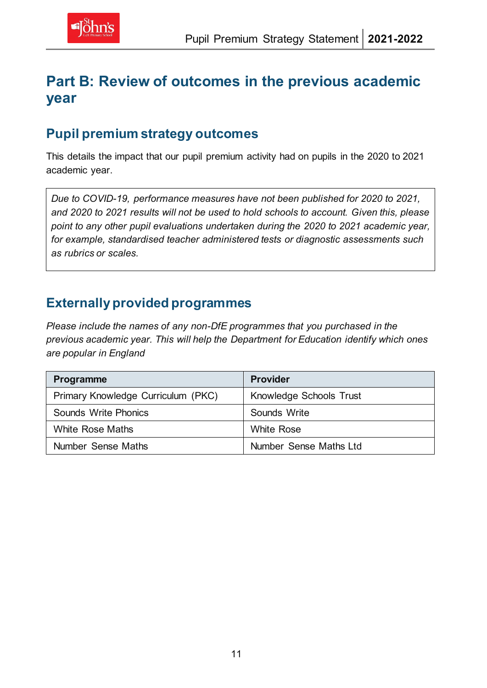# **Part B: Review of outcomes in the previous academic year**

#### **Pupil premium strategy outcomes**

This details the impact that our pupil premium activity had on pupils in the 2020 to 2021 academic year.

*Due to COVID-19, performance measures have not been published for 2020 to 2021, and 2020 to 2021 results will not be used to hold schools to account. Given this, please point to any other pupil evaluations undertaken during the 2020 to 2021 academic year, for example, standardised teacher administered tests or diagnostic assessments such as rubrics or scales.*

#### **Externally provided programmes**

*Please include the names of any non-DfE programmes that you purchased in the previous academic year. This will help the Department for Education identify which ones are popular in England*

| Programme                          | <b>Provider</b>         |
|------------------------------------|-------------------------|
| Primary Knowledge Curriculum (PKC) | Knowledge Schools Trust |
| Sounds Write Phonics               | Sounds Write            |
| <b>White Rose Maths</b>            | White Rose              |
| Number Sense Maths                 | Number Sense Maths Ltd  |